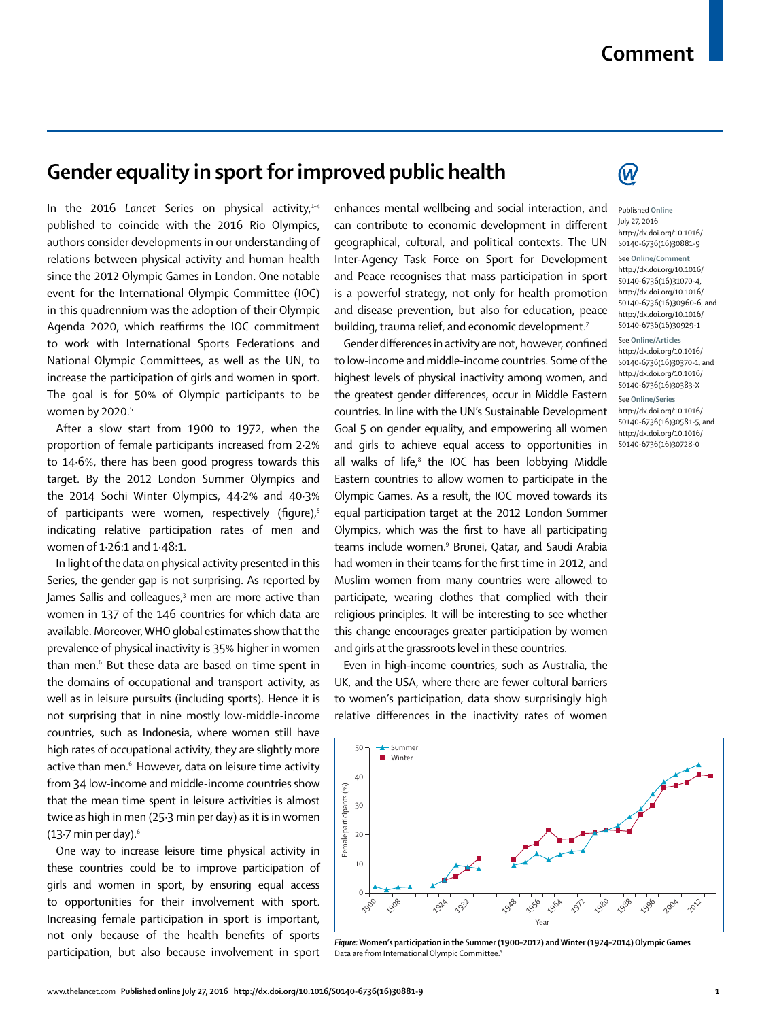## **Comment**

## **Gender equality in sport for improved public health**

In the 2016 Lancet Series on physical activity. $1-4$ published to coincide with the 2016 Rio Olympics, authors consider developments in our understanding of relations between physical activity and human health since the 2012 Olympic Games in London. One notable event for the International Olympic Committee (IOC) in this quadrennium was the adoption of their Olympic Agenda 2020, which reaffirms the IOC commitment to work with International Sports Federations and National Olympic Committees, as well as the UN, to increase the participation of girls and women in sport. The goal is for 50% of Olympic participants to be women by 2020.<sup>5</sup>

After a slow start from 1900 to 1972, when the proportion of female participants increased from 2·2% to 14·6%, there has been good progress towards this target. By the 2012 London Summer Olympics and the 2014 Sochi Winter Olympics, 44·2% and 40·3% of participants were women, respectively (figure), $5$ indicating relative participation rates of men and women of 1·26:1 and 1·48:1.

In light of the data on physical activity presented in this Series, the gender gap is not surprising. As reported by James Sallis and colleagues,<sup>3</sup> men are more active than women in 137 of the 146 countries for which data are available. Moreover, WHO global estimates show that the prevalence of physical inactivity is 35% higher in women than men.6 But these data are based on time spent in the domains of occupational and transport activity, as well as in leisure pursuits (including sports). Hence it is not surprising that in nine mostly low-middle-income countries, such as Indonesia, where women still have high rates of occupational activity, they are slightly more active than men.<sup>6</sup> However, data on leisure time activity from 34 low-income and middle-income countries show that the mean time spent in leisure activities is almost twice as high in men (25·3 min per day) as it is in women (13 $\cdot$ 7 min per day).<sup>6</sup>

One way to increase leisure time physical activity in these countries could be to improve participation of girls and women in sport, by ensuring equal access to opportunities for their involvement with sport. Increasing female participation in sport is important, not only because of the health benefits of sports participation, but also because involvement in sport enhances mental wellbeing and social interaction, and can contribute to economic development in different geographical, cultural, and political contexts. The UN Inter-Agency Task Force on Sport for Development and Peace recognises that mass participation in sport is a powerful strategy, not only for health promotion and disease prevention, but also for education, peace building, trauma relief, and economic development.<sup>7</sup>

Gender differences in activity are not, however, confined to low-income and middle-income countries. Some of the highest levels of physical inactivity among women, and the greatest gender differences, occur in Middle Eastern countries. In line with the UN's Sustainable Development Goal 5 on gender equality, and empowering all women and girls to achieve equal access to opportunities in all walks of life,<sup>8</sup> the IOC has been lobbying Middle Eastern countries to allow women to participate in the Olympic Games. As a result, the IOC moved towards its equal participation target at the 2012 London Summer Olympics, which was the first to have all participating teams include women.9 Brunei, Qatar, and Saudi Arabia had women in their teams for the first time in 2012, and Muslim women from many countries were allowed to participate, wearing clothes that complied with their religious principles. It will be interesting to see whether this change encourages greater participation by women and girls at the grassroots level in these countries.

Even in high-income countries, such as Australia, the UK, and the USA, where there are fewer cultural barriers to women's participation, data show surprisingly high relative differences in the inactivity rates of women



*Figure:* **Women's participation in the Summer (1900–2012) and Winter (1924–2014) Olympic Games** Data are from International Olympic Committee.5



## Published **Online** July 27, 2016 http://dx.doi.org/10.1016/ S0140-6736(16)30881-9 See **Online/Comment** http://dx.doi.org/10.1016/ S0140-6736(16)31070-4, http://dx.doi.org/10.1016/ S0140-6736(16)30960-6, and http://dx.doi.org/10.1016/ S0140-6736(16)30929-1

See **Online/Articles** http://dx.doi.org/10.1016/ S0140-6736(16)30370-1, and http://dx.doi.org/10.1016/ S0140-6736(16)30383-X

See **Online/Series** http://dx.doi.org/10.1016/ S0140-6736(16)30581-5, and http://dx.doi.org/10.1016/ S0140-6736(16)30728-0